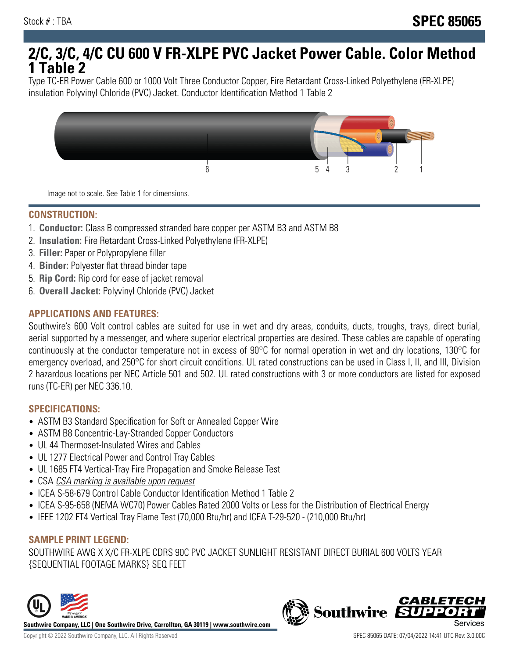# **2/C, 3/C, 4/C CU 600 V FR-XLPE PVC Jacket Power Cable. Color Method 1 Table 2**

Type TC-ER Power Cable 600 or 1000 Volt Three Conductor Copper, Fire Retardant Cross-Linked Polyethylene (FR-XLPE) insulation Polyvinyl Chloride (PVC) Jacket. Conductor Identification Method 1 Table 2



Image not to scale. See Table 1 for dimensions.

#### **CONSTRUCTION:**

- 1. **Conductor:** Class B compressed stranded bare copper per ASTM B3 and ASTM B8
- 2. **Insulation:** Fire Retardant Cross-Linked Polyethylene (FR-XLPE)
- 3. **Filler:** Paper or Polypropylene filler
- 4. **Binder:** Polyester flat thread binder tape
- 5. **Rip Cord:** Rip cord for ease of jacket removal
- 6. **Overall Jacket:** Polyvinyl Chloride (PVC) Jacket

## **APPLICATIONS AND FEATURES:**

Southwire's 600 Volt control cables are suited for use in wet and dry areas, conduits, ducts, troughs, trays, direct burial, aerial supported by a messenger, and where superior electrical properties are desired. These cables are capable of operating continuously at the conductor temperature not in excess of 90°C for normal operation in wet and dry locations, 130°C for emergency overload, and 250°C for short circuit conditions. UL rated constructions can be used in Class I, II, and III, Division 2 hazardous locations per NEC Article 501 and 502. UL rated constructions with 3 or more conductors are listed for exposed runs (TC-ER) per NEC 336.10.

#### **SPECIFICATIONS:**

- ASTM B3 Standard Specification for Soft or Annealed Copper Wire
- ASTM B8 Concentric-Lay-Stranded Copper Conductors
- UL 44 Thermoset-Insulated Wires and Cables
- UL 1277 Electrical Power and Control Tray Cables
- UL 1685 FT4 Vertical-Tray Fire Propagation and Smoke Release Test
- CSA CSA marking is available upon request
- ICEA S-58-679 Control Cable Conductor Identification Method 1 Table 2
- ICEA S-95-658 (NEMA WC70) Power Cables Rated 2000 Volts or Less for the Distribution of Electrical Energy
- IEEE 1202 FT4 Vertical Tray Flame Test (70,000 Btu/hr) and ICEA T-29-520 (210,000 Btu/hr)

#### **SAMPLE PRINT LEGEND:**

SOUTHWIRE AWG X X/C FR-XLPE CDRS 90C PVC JACKET SUNLIGHT RESISTANT DIRECT BURIAL 600 VOLTS YEAR {SEQUENTIAL FOOTAGE MARKS} SEQ FEET



**Southwire** 

**CABLETE**